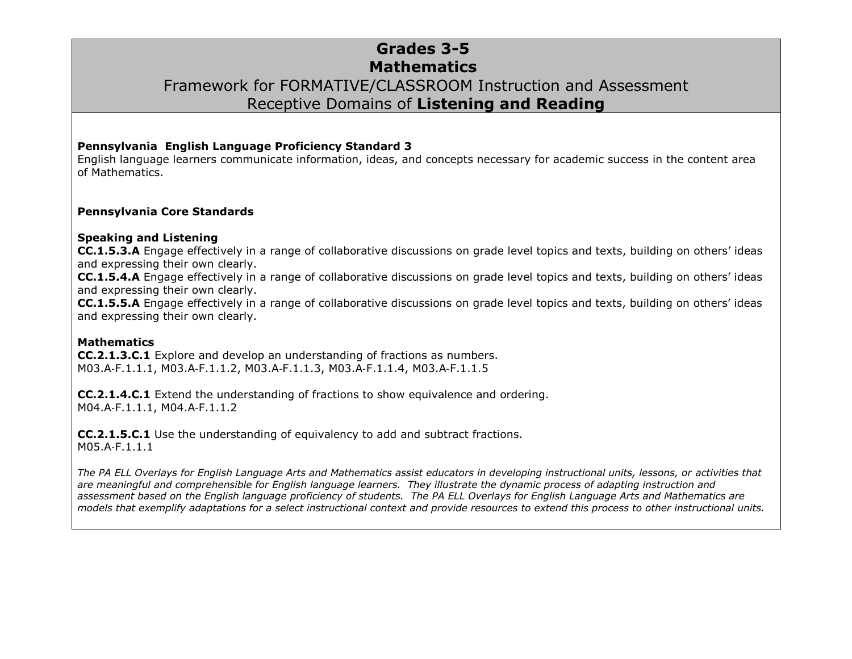## **Grades 3-5 Mathematics** Framework for FORMATIVE/CLASSROOM Instruction and Assessment Receptive Domains of **Listening and Reading**

#### **Pennsylvania English Language Proficiency Standard 3**

English language learners communicate information, ideas, and concepts necessary for academic success in the content area of Mathematics.

#### **Pennsylvania Core Standards**

#### **Speaking and Listening**

**CC.1.5.3.A** Engage effectively in a range of collaborative discussions on grade level topics and texts, building on others' ideas and expressing their own clearly.

**CC.1.5.4.A** Engage effectively in a range of collaborative discussions on grade level topics and texts, building on others' ideas and expressing their own clearly.

**CC.1.5.5.A** Engage effectively in a range of collaborative discussions on grade level topics and texts, building on others' ideas and expressing their own clearly.

#### **Mathematics**

**CC.2.1.3.C.1** Explore and develop an understanding of fractions as numbers. M03.A‐F.1.1.1, M03.A‐F.1.1.2, M03.A‐F.1.1.3, M03.A‐F.1.1.4, M03.A‐F.1.1.5

**CC.2.1.4.C.1** Extend the understanding of fractions to show equivalence and ordering. M04.A‐F.1.1.1, M04.A‐F.1.1.2

**CC.2.1.5.C.1** Use the understanding of equivalency to add and subtract fractions. M05.A‐F.1.1.1

*The PA ELL Overlays for English Language Arts and Mathematics assist educators in developing instructional units, lessons, or activities that are meaningful and comprehensible for English language learners. They illustrate the dynamic process of adapting instruction and assessment based on the English language proficiency of students. The PA ELL Overlays for English Language Arts and Mathematics are models that exemplify adaptations for a select instructional context and provide resources to extend this process to other instructional units.*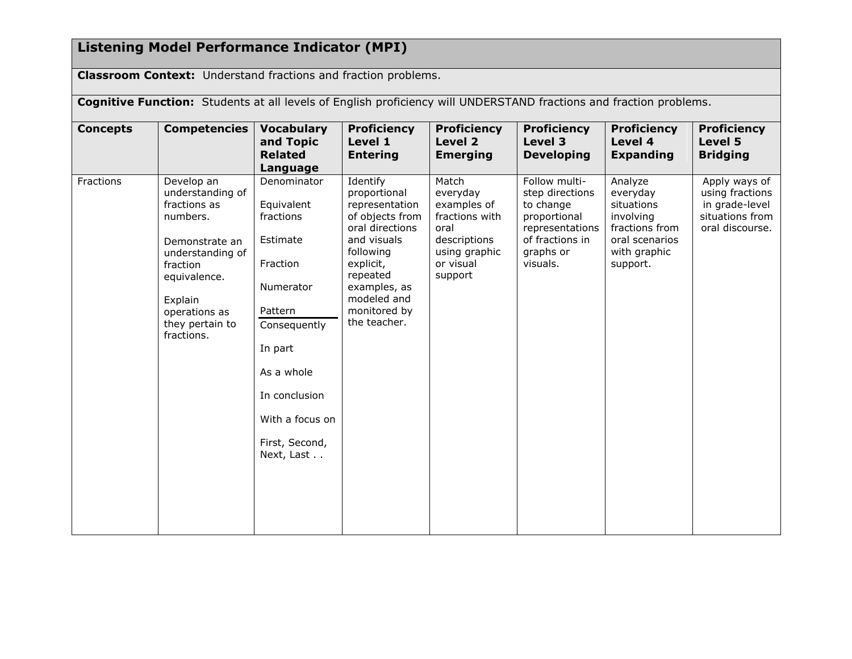# **Listening Model Performance Indicator (MPI)**

**Classroom Context:** Understand fractions and fraction problems.

| <b>Cognitive Function:</b> Students at all levels of English proficiency will UNDERSTAND fractions and fraction problems. |                                                                                                                                                                                           |                                                                                                                                                                                                     |                                                                                                                                                                                                      |                                                                                                                     |                                                                                                                              |                                                                                                                |                                                                                          |
|---------------------------------------------------------------------------------------------------------------------------|-------------------------------------------------------------------------------------------------------------------------------------------------------------------------------------------|-----------------------------------------------------------------------------------------------------------------------------------------------------------------------------------------------------|------------------------------------------------------------------------------------------------------------------------------------------------------------------------------------------------------|---------------------------------------------------------------------------------------------------------------------|------------------------------------------------------------------------------------------------------------------------------|----------------------------------------------------------------------------------------------------------------|------------------------------------------------------------------------------------------|
| <b>Concepts</b>                                                                                                           | <b>Competencies</b>                                                                                                                                                                       | <b>Vocabulary</b><br>and Topic<br><b>Related</b><br>Language                                                                                                                                        | <b>Proficiency</b><br>Level 1<br><b>Entering</b>                                                                                                                                                     | <b>Proficiency</b><br>Level 2<br><b>Emerging</b>                                                                    | <b>Proficiency</b><br>Level 3<br><b>Developing</b>                                                                           | <b>Proficiency</b><br>Level 4<br><b>Expanding</b>                                                              | <b>Proficiency</b><br>Level 5<br><b>Bridging</b>                                         |
| Fractions                                                                                                                 | Develop an<br>understanding of<br>fractions as<br>numbers.<br>Demonstrate an<br>understanding of<br>fraction<br>equivalence.<br>Explain<br>operations as<br>they pertain to<br>fractions. | Denominator<br>Equivalent<br>fractions<br>Estimate<br>Fraction<br>Numerator<br>Pattern<br>Consequently<br>In part<br>As a whole<br>In conclusion<br>With a focus on<br>First, Second,<br>Next, Last | Identify<br>proportional<br>representation<br>of objects from<br>oral directions<br>and visuals<br>following<br>explicit,<br>repeated<br>examples, as<br>modeled and<br>monitored by<br>the teacher. | Match<br>everyday<br>examples of<br>fractions with<br>oral<br>descriptions<br>using graphic<br>or visual<br>support | Follow multi-<br>step directions<br>to change<br>proportional<br>representations<br>of fractions in<br>graphs or<br>visuals. | Analyze<br>everyday<br>situations<br>involving<br>fractions from<br>oral scenarios<br>with graphic<br>support. | Apply ways of<br>using fractions<br>in grade-level<br>situations from<br>oral discourse. |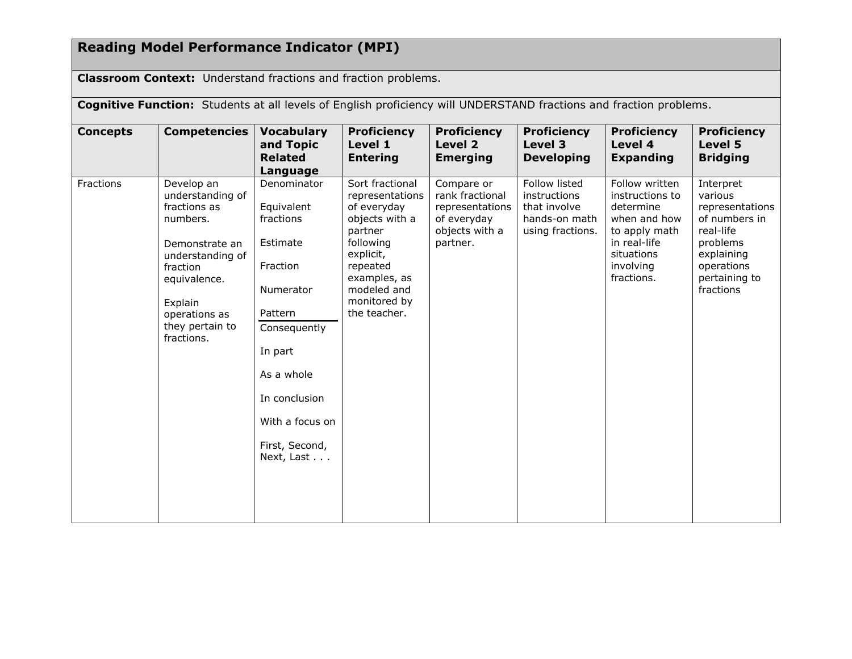## **Reading Model Performance Indicator (MPI)**

**Classroom Context:** Understand fractions and fraction problems.

**Cognitive Function:** Students at all levels of English proficiency will UNDERSTAND fractions and fraction problems.

| <b>Concepts</b> | <b>Competencies</b>                                                                                                                                                                       | <b>Vocabulary</b><br>and Topic<br><b>Related</b><br>Language                                                                                                                                        | <b>Proficiency</b><br>Level 1<br><b>Entering</b>                                                                                                                                    | <b>Proficiency</b><br>Level 2<br><b>Emerging</b>                                              | <b>Proficiency</b><br>Level 3<br><b>Developing</b>                                 | <b>Proficiency</b><br>Level 4<br><b>Expanding</b>                                                                                        | <b>Proficiency</b><br>Level 5<br><b>Bridging</b>                                                                                            |
|-----------------|-------------------------------------------------------------------------------------------------------------------------------------------------------------------------------------------|-----------------------------------------------------------------------------------------------------------------------------------------------------------------------------------------------------|-------------------------------------------------------------------------------------------------------------------------------------------------------------------------------------|-----------------------------------------------------------------------------------------------|------------------------------------------------------------------------------------|------------------------------------------------------------------------------------------------------------------------------------------|---------------------------------------------------------------------------------------------------------------------------------------------|
| Fractions       | Develop an<br>understanding of<br>fractions as<br>numbers.<br>Demonstrate an<br>understanding of<br>fraction<br>equivalence.<br>Explain<br>operations as<br>they pertain to<br>fractions. | Denominator<br>Equivalent<br>fractions<br>Estimate<br>Fraction<br>Numerator<br>Pattern<br>Consequently<br>In part<br>As a whole<br>In conclusion<br>With a focus on<br>First, Second,<br>Next, Last | Sort fractional<br>representations<br>of everyday<br>objects with a<br>partner<br>following<br>explicit,<br>repeated<br>examples, as<br>modeled and<br>monitored by<br>the teacher. | Compare or<br>rank fractional<br>representations<br>of everyday<br>objects with a<br>partner. | Follow listed<br>instructions<br>that involve<br>hands-on math<br>using fractions. | Follow written<br>instructions to<br>determine<br>when and how<br>to apply math<br>in real-life<br>situations<br>involving<br>fractions. | Interpret<br>various<br>representations<br>of numbers in<br>real-life<br>problems<br>explaining<br>operations<br>pertaining to<br>fractions |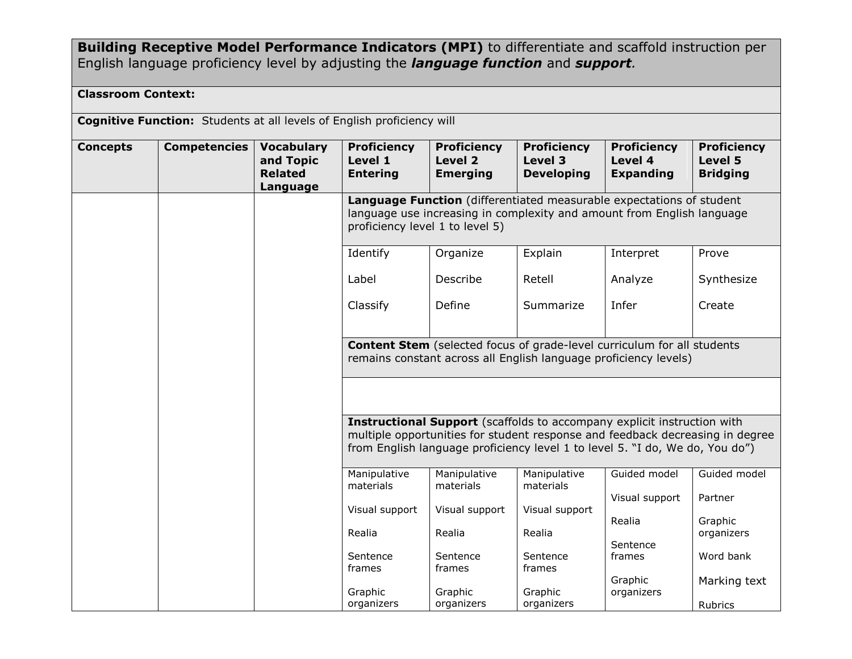### **Building Receptive Model Performance Indicators (MPI)** to differentiate and scaffold instruction per English language proficiency level by adjusting the *language function* and *support.*

### **Classroom Context:**

**Cognitive Function:** Students at all levels of English proficiency will

| <b>Concepts</b> | <b>Competencies</b> | <b>Vocabulary</b><br>and Topic<br><b>Related</b><br>Language | <b>Proficiency</b><br>Level 1<br><b>Entering</b>                                                                                                                                                                                                | <b>Proficiency</b><br>Level 2<br><b>Emerging</b> | <b>Proficiency</b><br>Level 3<br><b>Developing</b> | <b>Proficiency</b><br>Level 4<br><b>Expanding</b>                                                                                                  | <b>Proficiency</b><br>Level 5<br><b>Bridging</b> |  |  |
|-----------------|---------------------|--------------------------------------------------------------|-------------------------------------------------------------------------------------------------------------------------------------------------------------------------------------------------------------------------------------------------|--------------------------------------------------|----------------------------------------------------|----------------------------------------------------------------------------------------------------------------------------------------------------|--------------------------------------------------|--|--|
|                 |                     |                                                              | Language Function (differentiated measurable expectations of student<br>language use increasing in complexity and amount from English language<br>proficiency level 1 to level 5)                                                               |                                                  |                                                    |                                                                                                                                                    |                                                  |  |  |
|                 |                     |                                                              | Identify                                                                                                                                                                                                                                        | Organize                                         | Explain                                            | Interpret                                                                                                                                          | Prove                                            |  |  |
|                 |                     |                                                              | Label                                                                                                                                                                                                                                           | Describe                                         | Retell                                             | Analyze                                                                                                                                            | Synthesize                                       |  |  |
|                 |                     |                                                              | Classify                                                                                                                                                                                                                                        | Define                                           | Summarize                                          | Infer                                                                                                                                              | Create                                           |  |  |
|                 |                     |                                                              |                                                                                                                                                                                                                                                 |                                                  |                                                    | <b>Content Stem</b> (selected focus of grade-level curriculum for all students<br>remains constant across all English language proficiency levels) |                                                  |  |  |
|                 |                     |                                                              |                                                                                                                                                                                                                                                 |                                                  |                                                    |                                                                                                                                                    |                                                  |  |  |
|                 |                     |                                                              | <b>Instructional Support</b> (scaffolds to accompany explicit instruction with<br>multiple opportunities for student response and feedback decreasing in degree<br>from English language proficiency level 1 to level 5. "I do, We do, You do") |                                                  |                                                    |                                                                                                                                                    |                                                  |  |  |
|                 |                     |                                                              | Manipulative<br>materials                                                                                                                                                                                                                       | Manipulative<br>materials                        | Manipulative<br>materials                          | Guided model                                                                                                                                       | Guided model                                     |  |  |
|                 |                     |                                                              | Visual support                                                                                                                                                                                                                                  | Visual support                                   | Visual support                                     | Visual support                                                                                                                                     | Partner                                          |  |  |
|                 |                     |                                                              | Realia                                                                                                                                                                                                                                          | Realia                                           | Realia                                             | Realia                                                                                                                                             | Graphic<br>organizers                            |  |  |
|                 |                     |                                                              | Sentence<br>frames                                                                                                                                                                                                                              | Sentence<br>frames                               | Sentence<br>frames                                 | Sentence<br>frames                                                                                                                                 | Word bank                                        |  |  |
|                 |                     |                                                              |                                                                                                                                                                                                                                                 |                                                  |                                                    | Graphic                                                                                                                                            | Marking text                                     |  |  |
|                 |                     |                                                              | Graphic<br>organizers                                                                                                                                                                                                                           | Graphic<br>organizers                            | Graphic<br>organizers                              | organizers                                                                                                                                         | Rubrics                                          |  |  |